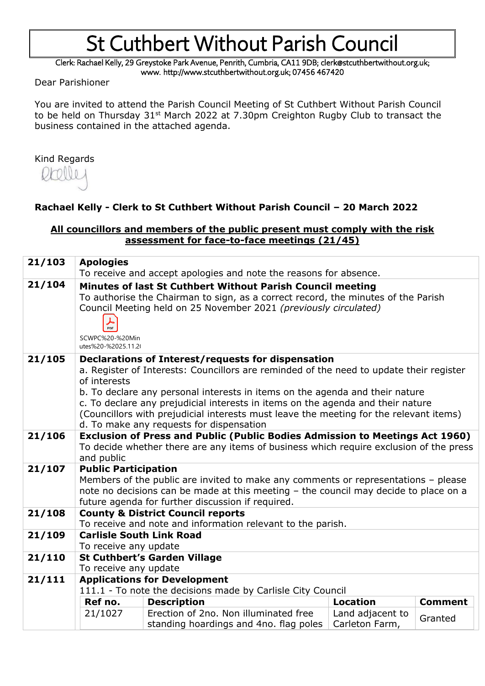Clerk: Rachael Kelly, 29 Greystoke Park Avenue, Penrith, Cumbria, CA11 9DB; clerk@stcuthbertwithout.org.uk; www. http://www.stcuthbertwithout.org.uk; 07456 467420

Dear Parishioner

You are invited to attend the Parish Council Meeting of St Cuthbert Without Parish Council to be held on Thursday 31<sup>st</sup> March 2022 at 7.30pm Creighton Rugby Club to transact the business contained in the attached agenda.

#### Kind Regards



### **Rachael Kelly - Clerk to St Cuthbert Without Parish Council – 20 March 2022**

#### **All councillors and members of the public present must comply with the risk assessment for face-to-face meetings (21/45)**

| 21/103 | <b>Apologies</b>                                                                                                                                                                                                                                                                                                                                                                                                                                                       |                                                                                 |                                    |                |  |
|--------|------------------------------------------------------------------------------------------------------------------------------------------------------------------------------------------------------------------------------------------------------------------------------------------------------------------------------------------------------------------------------------------------------------------------------------------------------------------------|---------------------------------------------------------------------------------|------------------------------------|----------------|--|
|        | To receive and accept apologies and note the reasons for absence.                                                                                                                                                                                                                                                                                                                                                                                                      |                                                                                 |                                    |                |  |
| 21/104 | Minutes of last St Cuthbert Without Parish Council meeting<br>To authorise the Chairman to sign, as a correct record, the minutes of the Parish<br>Council Meeting held on 25 November 2021 (previously circulated)<br>PDF<br>SCWPC%20-%20Min<br>utes%20-%2025.11.20                                                                                                                                                                                                   |                                                                                 |                                    |                |  |
| 21/105 | Declarations of Interest/requests for dispensation<br>a. Register of Interests: Councillors are reminded of the need to update their register<br>of interests<br>b. To declare any personal interests in items on the agenda and their nature<br>c. To declare any prejudicial interests in items on the agenda and their nature<br>(Councillors with prejudicial interests must leave the meeting for the relevant items)<br>d. To make any requests for dispensation |                                                                                 |                                    |                |  |
| 21/106 | <b>Exclusion of Press and Public (Public Bodies Admission to Meetings Act 1960)</b><br>To decide whether there are any items of business which require exclusion of the press<br>and public                                                                                                                                                                                                                                                                            |                                                                                 |                                    |                |  |
| 21/107 | <b>Public Participation</b><br>Members of the public are invited to make any comments or representations - please<br>note no decisions can be made at this meeting - the council may decide to place on a<br>future agenda for further discussion if required.                                                                                                                                                                                                         |                                                                                 |                                    |                |  |
| 21/108 | <b>County &amp; District Council reports</b><br>To receive and note and information relevant to the parish.                                                                                                                                                                                                                                                                                                                                                            |                                                                                 |                                    |                |  |
| 21/109 | <b>Carlisle South Link Road</b><br>To receive any update                                                                                                                                                                                                                                                                                                                                                                                                               |                                                                                 |                                    |                |  |
| 21/110 | <b>St Cuthbert's Garden Village</b><br>To receive any update                                                                                                                                                                                                                                                                                                                                                                                                           |                                                                                 |                                    |                |  |
| 21/111 | <b>Applications for Development</b><br>111.1 - To note the decisions made by Carlisle City Council                                                                                                                                                                                                                                                                                                                                                                     |                                                                                 |                                    |                |  |
|        | Ref no.                                                                                                                                                                                                                                                                                                                                                                                                                                                                | <b>Description</b>                                                              | <b>Location</b>                    | <b>Comment</b> |  |
|        | 21/1027                                                                                                                                                                                                                                                                                                                                                                                                                                                                | Erection of 2no. Non illuminated free<br>standing hoardings and 4no. flag poles | Land adjacent to<br>Carleton Farm, | Granted        |  |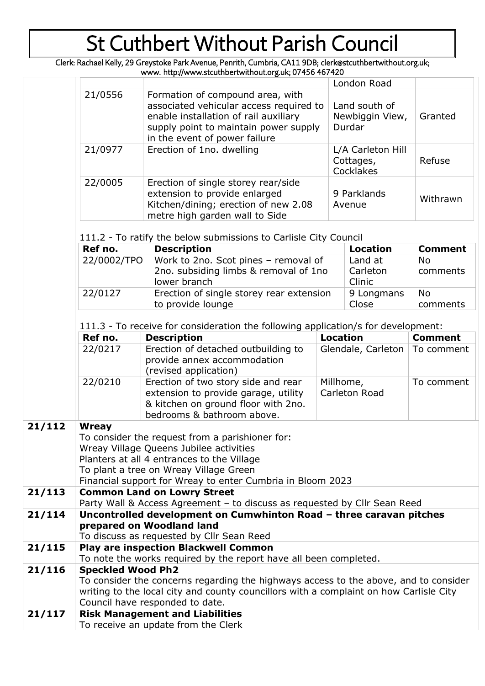Clerk: Rachael Kelly, 29 Greystoke Park Avenue, Penrith, Cumbria, CA11 9DB; clerk@stcuthbertwithout.org.uk; www. http://www.stcuthbertwithout.org.uk; 07456 467420

|        |                                                                                                                                                                                                                   |                                                                                                                                                  |  |                            | London Road                                 |                       |  |  |
|--------|-------------------------------------------------------------------------------------------------------------------------------------------------------------------------------------------------------------------|--------------------------------------------------------------------------------------------------------------------------------------------------|--|----------------------------|---------------------------------------------|-----------------------|--|--|
|        | 21/0556<br>Formation of compound area, with<br>associated vehicular access required to<br>enable installation of rail auxiliary<br>supply point to maintain power supply<br>in the event of power failure         |                                                                                                                                                  |  |                            | Land south of<br>Newbiggin View,<br>Durdar  | Granted               |  |  |
|        | 21/0977                                                                                                                                                                                                           | Erection of 1no. dwelling                                                                                                                        |  |                            | L/A Carleton Hill<br>Cottages,<br>Cocklakes | Refuse                |  |  |
|        | 22/0005                                                                                                                                                                                                           | Erection of single storey rear/side<br>extension to provide enlarged<br>Kitchen/dining; erection of new 2.08<br>metre high garden wall to Side   |  |                            | 9 Parklands<br>Avenue                       | Withrawn              |  |  |
|        | 111.2 - To ratify the below submissions to Carlisle City Council                                                                                                                                                  |                                                                                                                                                  |  |                            |                                             |                       |  |  |
|        | Ref no.                                                                                                                                                                                                           | <b>Description</b>                                                                                                                               |  |                            | <b>Location</b>                             | <b>Comment</b>        |  |  |
|        | 22/0002/TPO                                                                                                                                                                                                       | Work to 2no. Scot pines - removal of<br>2no. subsiding limbs & removal of 1no<br>lower branch                                                    |  |                            | Land at<br>Carleton<br>Clinic               | <b>No</b><br>comments |  |  |
|        | 22/0127                                                                                                                                                                                                           | Erection of single storey rear extension<br>to provide lounge                                                                                    |  | 9 Longmans<br>Close        |                                             | <b>No</b><br>comments |  |  |
|        | 111.3 - To receive for consideration the following application/s for development:                                                                                                                                 |                                                                                                                                                  |  |                            |                                             |                       |  |  |
|        | Ref no.                                                                                                                                                                                                           | <b>Description</b>                                                                                                                               |  | <b>Location</b>            |                                             | <b>Comment</b>        |  |  |
|        | 22/0217                                                                                                                                                                                                           | Erection of detached outbuilding to<br>provide annex accommodation<br>(revised application)                                                      |  | Glendale, Carleton         |                                             | To comment            |  |  |
|        | 22/0210                                                                                                                                                                                                           | Erection of two story side and rear<br>extension to provide garage, utility<br>& kitchen on ground floor with 2no.<br>bedrooms & bathroom above. |  | Millhome,<br>Carleton Road |                                             | To comment            |  |  |
| 21/112 | <b>Wreay</b>                                                                                                                                                                                                      |                                                                                                                                                  |  |                            |                                             |                       |  |  |
|        | To consider the request from a parishioner for:<br>Wreay Village Queens Jubilee activities<br>Planters at all 4 entrances to the Village                                                                          |                                                                                                                                                  |  |                            |                                             |                       |  |  |
|        | To plant a tree on Wreay Village Green<br>Financial support for Wreay to enter Cumbria in Bloom 2023                                                                                                              |                                                                                                                                                  |  |                            |                                             |                       |  |  |
| 21/113 |                                                                                                                                                                                                                   | <b>Common Land on Lowry Street</b><br>Party Wall & Access Agreement - to discuss as requested by Cllr Sean Reed                                  |  |                            |                                             |                       |  |  |
| 21/114 |                                                                                                                                                                                                                   | Uncontrolled development on Cumwhinton Road - three caravan pitches                                                                              |  |                            |                                             |                       |  |  |
|        |                                                                                                                                                                                                                   | prepared on Woodland land                                                                                                                        |  |                            |                                             |                       |  |  |
|        |                                                                                                                                                                                                                   | To discuss as requested by Cllr Sean Reed                                                                                                        |  |                            |                                             |                       |  |  |
| 21/115 |                                                                                                                                                                                                                   | <b>Play are inspection Blackwell Common</b><br>To note the works required by the report have all been completed.                                 |  |                            |                                             |                       |  |  |
| 21/116 | <b>Speckled Wood Ph2</b>                                                                                                                                                                                          |                                                                                                                                                  |  |                            |                                             |                       |  |  |
|        | To consider the concerns regarding the highways access to the above, and to consider<br>writing to the local city and county councillors with a complaint on how Carlisle City<br>Council have responded to date. |                                                                                                                                                  |  |                            |                                             |                       |  |  |
| 21/117 |                                                                                                                                                                                                                   | <b>Risk Management and Liabilities</b>                                                                                                           |  |                            |                                             |                       |  |  |
|        |                                                                                                                                                                                                                   | To receive an update from the Clerk                                                                                                              |  |                            |                                             |                       |  |  |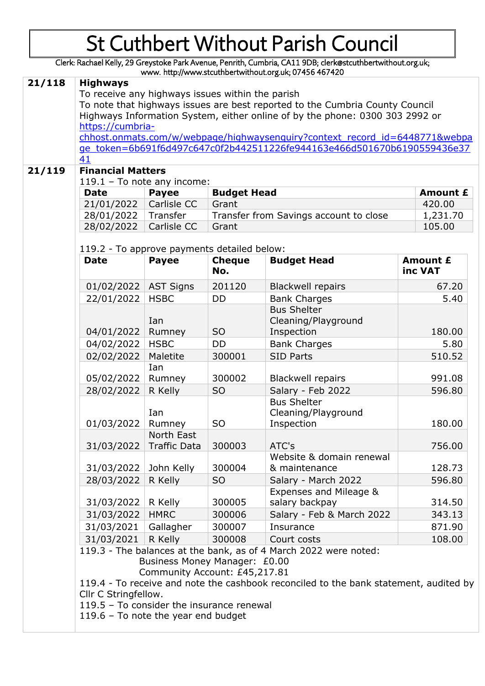Clerk: Rachael Kelly, 29 Greystoke Park Avenue, Penrith, Cumbria, CA11 9DB; clerk@stcuthbertwithout.org.uk; www. http://www.stcuthbertwithout.org.uk; 07456 467420

| 21/118 | <b>Highways</b>                                                                                                                  |                                                    |                                    |                                                                                       |          |  |  |
|--------|----------------------------------------------------------------------------------------------------------------------------------|----------------------------------------------------|------------------------------------|---------------------------------------------------------------------------------------|----------|--|--|
|        | To receive any highways issues within the parish<br>To note that highways issues are best reported to the Cumbria County Council |                                                    |                                    |                                                                                       |          |  |  |
|        | Highways Information System, either online of by the phone: 0300 303 2992 or                                                     |                                                    |                                    |                                                                                       |          |  |  |
|        | https://cumbria-                                                                                                                 |                                                    |                                    |                                                                                       |          |  |  |
|        | chhost.onmats.com/w/webpage/highwaysenguiry?context record id=6448771&webpa                                                      |                                                    |                                    |                                                                                       |          |  |  |
|        | ge_token=6b691f6d497c647c0f2b442511226fe944163e466d501670b6190559436e37                                                          |                                                    |                                    |                                                                                       |          |  |  |
|        | 41                                                                                                                               |                                                    |                                    |                                                                                       |          |  |  |
| 21/119 | <b>Financial Matters</b><br>$119.1 - To note any income:$                                                                        |                                                    |                                    |                                                                                       |          |  |  |
|        | <b>Budget Head</b><br><b>Payee</b><br><b>Date</b>                                                                                |                                                    |                                    |                                                                                       |          |  |  |
|        | 21/01/2022                                                                                                                       | Carlisle CC                                        | <b>Amount £</b><br>420.00<br>Grant |                                                                                       |          |  |  |
|        | Transfer from Savings account to close<br>28/01/2022<br>Transfer<br>28/02/2022<br>Carlisle CC<br>Grant                           |                                                    | 1,231.70                           |                                                                                       |          |  |  |
|        |                                                                                                                                  |                                                    | 105.00                             |                                                                                       |          |  |  |
|        | 119.2 - To approve payments detailed below:                                                                                      |                                                    |                                    |                                                                                       |          |  |  |
|        |                                                                                                                                  |                                                    |                                    |                                                                                       |          |  |  |
|        | <b>Date</b>                                                                                                                      | <b>Payee</b>                                       | <b>Cheque</b>                      | <b>Budget Head</b>                                                                    | Amount £ |  |  |
|        |                                                                                                                                  |                                                    | No.                                |                                                                                       | inc VAT  |  |  |
|        | 01/02/2022                                                                                                                       | <b>AST Signs</b>                                   | 201120                             | <b>Blackwell repairs</b>                                                              | 67.20    |  |  |
|        | 22/01/2022                                                                                                                       | <b>HSBC</b>                                        | DD                                 | <b>Bank Charges</b>                                                                   | 5.40     |  |  |
|        |                                                                                                                                  |                                                    |                                    | <b>Bus Shelter</b>                                                                    |          |  |  |
|        |                                                                                                                                  | Ian                                                |                                    | Cleaning/Playground                                                                   |          |  |  |
|        | 04/01/2022                                                                                                                       | Rumney                                             | <b>SO</b>                          | Inspection                                                                            | 180.00   |  |  |
|        | 04/02/2022                                                                                                                       | <b>HSBC</b>                                        | <b>DD</b>                          | <b>Bank Charges</b>                                                                   | 5.80     |  |  |
|        | 02/02/2022                                                                                                                       | Maletite                                           | 300001                             | <b>SID Parts</b>                                                                      | 510.52   |  |  |
|        | 05/02/2022                                                                                                                       | Ian<br>Rumney                                      | 300002                             | <b>Blackwell repairs</b>                                                              | 991.08   |  |  |
|        | 28/02/2022                                                                                                                       |                                                    | S <sub>O</sub>                     |                                                                                       | 596.80   |  |  |
|        |                                                                                                                                  | R Kelly<br>Salary - Feb 2022<br><b>Bus Shelter</b> |                                    |                                                                                       |          |  |  |
|        |                                                                                                                                  | Ian                                                |                                    | Cleaning/Playground                                                                   |          |  |  |
|        | 01/03/2022                                                                                                                       | Rumney                                             | S <sub>O</sub>                     | Inspection                                                                            | 180.00   |  |  |
|        |                                                                                                                                  | North East                                         |                                    |                                                                                       |          |  |  |
|        | 31/03/2022                                                                                                                       | <b>Traffic Data</b>                                | 300003                             | ATC's                                                                                 | 756.00   |  |  |
|        |                                                                                                                                  |                                                    |                                    | Website & domain renewal                                                              |          |  |  |
|        | 31/03/2022                                                                                                                       | John Kelly                                         | 300004                             | & maintenance                                                                         | 128.73   |  |  |
|        | 28/03/2022                                                                                                                       | R Kelly                                            | <b>SO</b>                          | Salary - March 2022                                                                   | 596.80   |  |  |
|        |                                                                                                                                  |                                                    |                                    | Expenses and Mileage &                                                                |          |  |  |
|        | 31/03/2022                                                                                                                       | R Kelly                                            | 300005                             | salary backpay                                                                        | 314.50   |  |  |
|        | 31/03/2022                                                                                                                       | <b>HMRC</b>                                        | 300006                             | Salary - Feb & March 2022                                                             | 343.13   |  |  |
|        | 31/03/2021                                                                                                                       | Gallagher                                          | 300007                             | Insurance                                                                             | 871.90   |  |  |
|        | 31/03/2021                                                                                                                       | R Kelly                                            | 300008                             | Court costs                                                                           | 108.00   |  |  |
|        |                                                                                                                                  |                                                    |                                    | 119.3 - The balances at the bank, as of 4 March 2022 were noted:                      |          |  |  |
|        | Business Money Manager: £0.00<br>Community Account: £45,217.81                                                                   |                                                    |                                    |                                                                                       |          |  |  |
|        |                                                                                                                                  |                                                    |                                    | 119.4 - To receive and note the cashbook reconciled to the bank statement, audited by |          |  |  |
|        | Cllr C Stringfellow.                                                                                                             |                                                    |                                    |                                                                                       |          |  |  |
|        | 119.5 - To consider the insurance renewal                                                                                        |                                                    |                                    |                                                                                       |          |  |  |
|        | 119.6 - To note the year end budget                                                                                              |                                                    |                                    |                                                                                       |          |  |  |
|        |                                                                                                                                  |                                                    |                                    |                                                                                       |          |  |  |